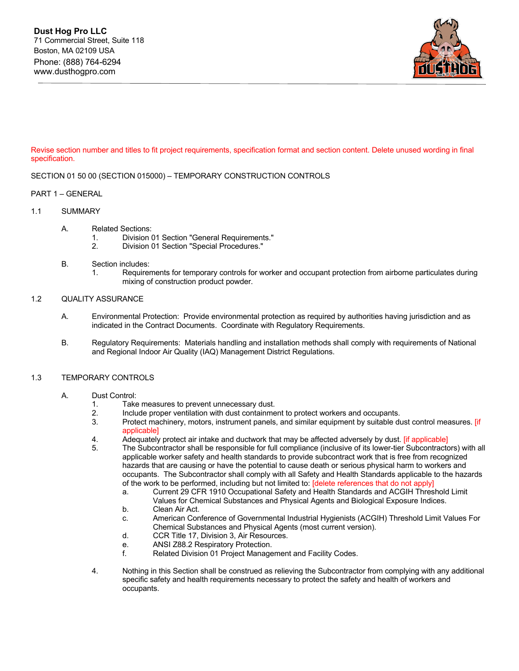

Revise section number and titles to fit project requirements, specification format and section content. Delete unused wording in final specification.

## SECTION 01 50 00 (SECTION 015000) – TEMPORARY CONSTRUCTION CONTROLS

### PART 1 – GENERAL

### 1.1 SUMMARY

- A. Related Sections:
	- 1. Division 01 Section "General Requirements."
	- 2. Division 01 Section "Special Procedures."
- B. Section includes:
	- 1. Requirements for temporary controls for worker and occupant protection from airborne particulates during mixing of construction product powder.

## 1.2 QUALITY ASSURANCE

- A. Environmental Protection: Provide environmental protection as required by authorities having jurisdiction and as indicated in the Contract Documents. Coordinate with Regulatory Requirements.
- B. Regulatory Requirements: Materials handling and installation methods shall comply with requirements of National and Regional Indoor Air Quality (IAQ) Management District Regulations.

### 1.3 TEMPORARY CONTROLS

### A. Dust Control:

- 1. Take measures to prevent unnecessary dust.
- 2. Include proper ventilation with dust containment to protect workers and occupants.<br>3. Protect machinery, motors, instrument panels, and similar equipment by suitable di
- Protect machinery, motors, instrument panels, and similar equipment by suitable dust control measures. [if applicable]
- 4. Adequately protect air intake and ductwork that may be affected adversely by dust. [if applicable]
- 5. The Subcontractor shall be responsible for full compliance (inclusive of its lower-tier Subcontractors) with all applicable worker safety and health standards to provide subcontract work that is free from recognized hazards that are causing or have the potential to cause death or serious physical harm to workers and occupants. The Subcontractor shall comply with all Safety and Health Standards applicable to the hazards of the work to be performed, including but not limited to: [delete references that do not apply]
	- a. Current 29 CFR 1910 Occupational Safety and Health Standards and ACGIH Threshold Limit Values for Chemical Substances and Physical Agents and Biological Exposure Indices.
	- b. Clean Air Act.
	- c. American Conference of Governmental Industrial Hygienists (ACGIH) Threshold Limit Values For Chemical Substances and Physical Agents (most current version).
	- d. CCR Title 17, Division 3, Air Resources.
	- e. ANSI Z88.2 Respiratory Protection.
	- f. Related Division 01 Project Management and Facility Codes.
- 4. Nothing in this Section shall be construed as relieving the Subcontractor from complying with any additional specific safety and health requirements necessary to protect the safety and health of workers and occupants.